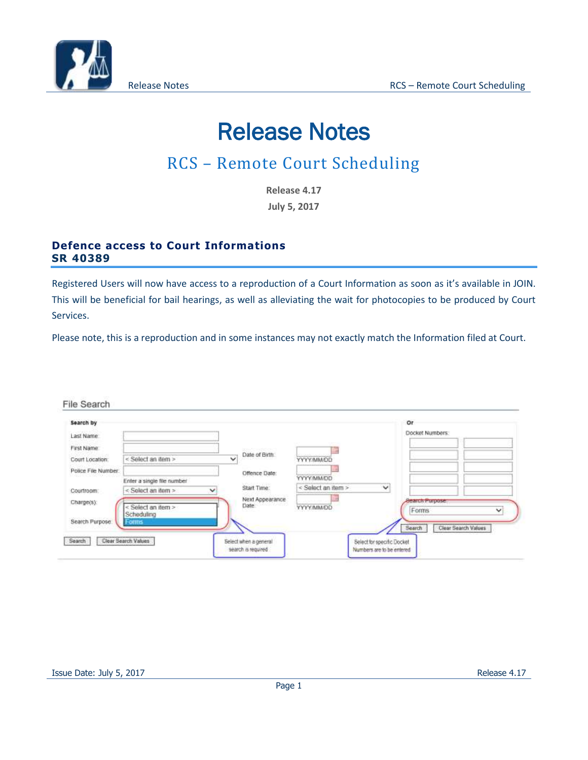

# Release Notes

# RCS – Remote Court Scheduling

**Release 4.17 July 5, 2017**

### **Defence access to Court Informations SR 40389**

Registered Users will now have access to a reproduction of a Court Information as soon as it's available in JOIN. This will be beneficial for bail hearings, as well as alleviating the wait for photocopies to be produced by Court Services.

Please note, this is a reproduction and in some instances may not exactly match the Information filed at Court.

#### File Search

| Search by<br>Last Name |                                  |                                            |                                    | Or<br>Docket Numbers.         |
|------------------------|----------------------------------|--------------------------------------------|------------------------------------|-------------------------------|
| First Name             |                                  | peaks for supervisions?                    |                                    |                               |
| Court Location.        | < Select an item >               | Date of Birth<br>ŵ                         | YYYY/MM/DD                         |                               |
| Police File Number:    |                                  | Offence Date:                              |                                    |                               |
|                        | Enter a single file number       |                                            | <b>UCIVANIAN</b>                   |                               |
| Courtroom:             | < Select an item ><br>v          | Start Time:                                | < Select an item ><br>$\checkmark$ |                               |
| Charge(s):             |                                  | Next Appearance<br>Date by the contract of |                                    | <b>Bearch Purpose</b>         |
|                        | < Select an item ><br>Scheduling |                                            | YYYYMM/DD                          | Forms<br>v                    |
| Search Purpose         | Forms                            |                                            |                                    |                               |
|                        |                                  |                                            |                                    | Clear Search Values<br>Search |
| Search                 | Clear Search Values              | Select when a general                      | Select for specific Docket         |                               |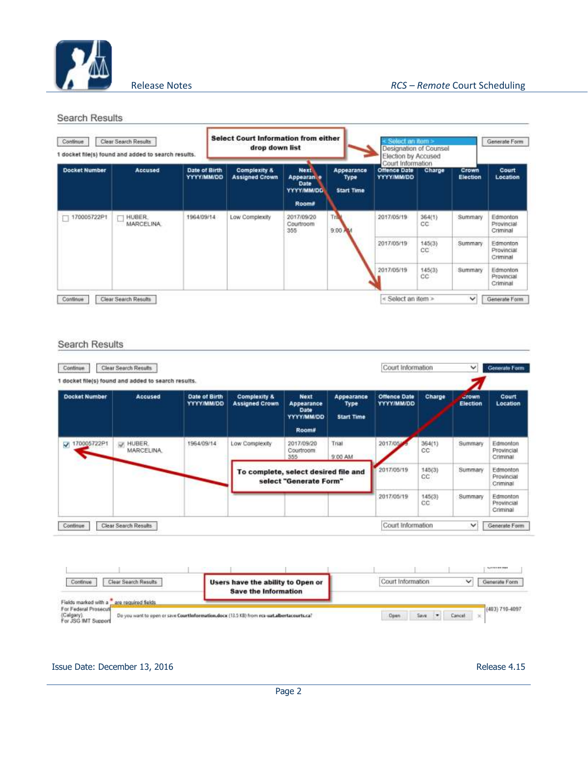

Search Results

| Continue<br>Clear Search Results<br>docket file(s) found and added to search results. |                      |                             | <b>Select Court Information from either</b><br>drop down list |                                                  |                                                                               |                                         | Select an item ><br>Designation of Counsel<br>Election by Accused<br>Court Information |               |                   | Generate Form                      |
|---------------------------------------------------------------------------------------|----------------------|-----------------------------|---------------------------------------------------------------|--------------------------------------------------|-------------------------------------------------------------------------------|-----------------------------------------|----------------------------------------------------------------------------------------|---------------|-------------------|------------------------------------|
| <b>Docket Number</b>                                                                  | Accused              | Date of Birth<br>YYYY/MM/DD |                                                               | <b>Complexity &amp;</b><br><b>Assigned Crown</b> | <b>Next</b><br>Appearant e<br><b>Date</b><br><b>YYYYMM/DD</b><br><b>Room#</b> | Appearance<br>Type<br><b>Start Time</b> | <b>Offence Date</b><br><b>YYYY/MM/DD</b>                                               | Charge        | Crown<br>Election | Court<br>Location                  |
| 170005722P1                                                                           | HUBER.<br>MARCELINA. | 1964/09/14                  |                                                               | Low Complexity                                   | 2017/09/20<br>Courtroom<br>355                                                | Tria<br>9.00 <sub>A</sub>               | 2017/05/19                                                                             | 364(1)<br>CC. | Summary           | Edmonton<br>Provincial<br>Criminal |
|                                                                                       |                      |                             |                                                               |                                                  |                                                                               |                                         | 2017/05/19<br>1999 - John P. P. Britt                                                  | 145(3)<br>CC  | Summary           | Edmonton<br>Provincial<br>Criminal |
|                                                                                       |                      |                             |                                                               |                                                  |                                                                               |                                         | 2017/05/19                                                                             | 145(3)<br>CC- | Summary           | Edmonton<br>Provincial<br>Criminal |
| Continue                                                                              | Clear Search Results |                             |                                                               |                                                  |                                                                               |                                         | < Select an item >                                                                     |               | ◡                 | Generate Form                      |

#### **Search Results**

|                      | 1 docket file(s) found and added to search results. |                                    |                                                                |                                                                 |                                         |                                          |               |                          |                                    |
|----------------------|-----------------------------------------------------|------------------------------------|----------------------------------------------------------------|-----------------------------------------------------------------|-----------------------------------------|------------------------------------------|---------------|--------------------------|------------------------------------|
| <b>Docket Number</b> | Accused                                             | Date of Birth<br><b>YYYY/MM/DD</b> | <b>Complexity &amp;</b><br><b>Assigned Crown</b>               | <b>Next</b><br>Appearance<br>Date<br><b>OCIMMIYYYY</b><br>Room# | Appearance<br>Type<br><b>Start Time</b> | <b>Offence Date</b><br><b>YYYY/MM/DD</b> | Charge        | <b>Jrown</b><br>Election | Court<br>Location                  |
| V 170005722P1        | <b>M. HUBER</b><br><b>MARCELINA</b>                 | 1964/09/14                         | Low Complexity                                                 | 2017/09/20<br>Courtroom.<br>355                                 | Trial<br>9:00 AM                        | 2017/05/                                 | 364(1)<br>cc. | Summary                  | Edmonton<br>Provincial<br>Criminal |
|                      |                                                     |                                    | To complete, select desired file and<br>select "Generate Form" |                                                                 |                                         | 2017/05/19                               | 145(3)<br>CC. | Summary                  | Edmonton<br>Provincial<br>Criminal |
|                      |                                                     |                                    |                                                                |                                                                 |                                         | 2017/05/19                               | 145(3)<br>CC  | <b>Summary</b>           | Edmonton<br>Provincial<br>Criminal |

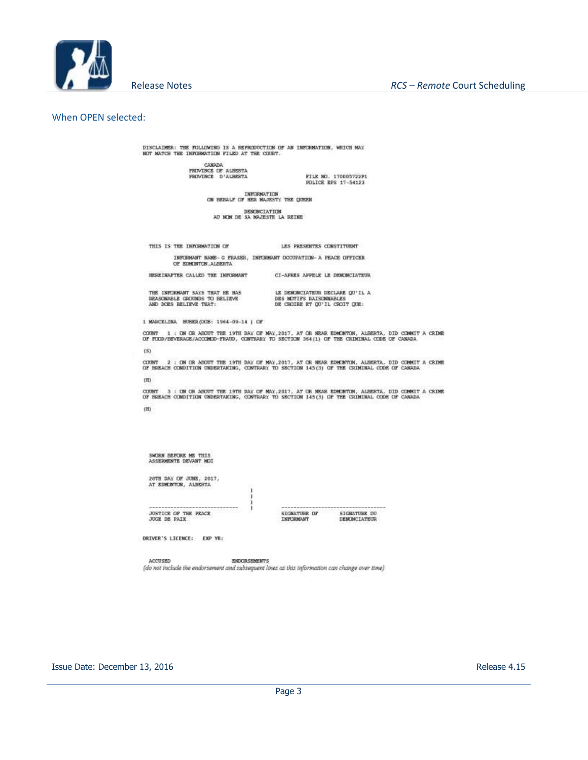

When OPEN selected:

DISCLAIMER: THE FOLLOWING IS A REPRODUCTION OF AN INFORMATION, WHICH MAY NOT MATCH THE INFORMATION FILED AT THE COURT.

> CANADA<br>PRIVINCE OF ALBERTA PROVINCE D'ALBERTA

FILE NO. 170005722P1<br>POLICE EPS 17-54123

LES PRESENTES CONSTITUENT

CI-APRES APPELE LE DENONCIATEUR

INFORMATION<br>ON BEHALF OF HER MAJESTY THE QUEEN

DENONCIATION<br>AU NOM DE SA NAJESTE LA REINE

THIS IS THE INFORMATION OF

INFORMAT NAME- G FRASER, INFORMAT OCCUPATION- A FEACE OFFICER OF EDMINITOR, ALBERTA

HEREINAFTER CALLED THE INFORMANT

THE INFORMANT SAYS THAT HE HAS<br>REASCMABLE GROUNDS TO BELIEVE<br>AND DOES BELIEVE THAT: LE DENONCIATEUR DECLARE QU'IL A DES MOTTES RAISONNABLES<br>DE CHOIRE ET QU'IL CROIT QUE:

1 MARCELINA HUBER (DOB: 1964-09-14 ) OF

COUNT 1 : ON OR ABOUT THE 19TH DAY OF MAY, 2017, AT OR MEAR EDMONTON, ALBERTA, DID COMMIT A CRIME<br>OF FOOD/BEVERAGE/ACCOMDO-FRAUD, CONTRARY TO SECTION 364(1) OF THE CRIMINAL CODE OF CANADA

 $(5)$ 

COUNT 2 : ON OR ABOUT THE 19TH DAY OF MAY, 2017, AT OR NEAR EDMONTON, ALBERTA, DID COMMIT A CRIME<br>OF BREACH CONDITION UNDERTAKING, CONTRARY TO SECTION 145(3) OF THE CRIMINAL CODE OF CANADA

 $(III)$ 

CUURT 3 : OB OR ABUUT THE 19TH DAY OF MAY, 2017, AT OR MEAR EDMONTON, ALBERTA, DID COMMIT A CRIME<br>OF BREACH COMDITION UNDERTARING, CONTRARY TO SECTION 145(3) OF THE CRIMINAL CODE OF CANADA  $(B)$ 

SWORN BEFORE ME THIS<br>ASSERMENTE DEVANT MOI 26TH DAY OF JUNE, 2017,<br>AT EDMONTON, ALBERTA **JUSTICE OF THE PEACE**<br>JUGE DE PAIX SIGNATURE OF STONATURE DO INFORMANT DESCRICTATEUR DRIVER'S LICENCE: EXP YR: ACCUSED **ENDORSEMENTS** 

(do not include the endorsement and subsequent lines as this information can change over time)